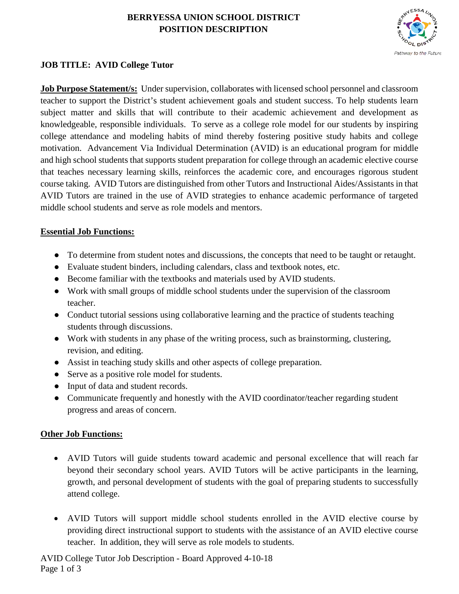# **BERRYESSA UNION SCHOOL DISTRICT POSITION DESCRIPTION**



### **JOB TITLE: AVID College Tutor**

**Job Purpose Statement/s:** Under supervision, collaborates with licensed school personnel and classroom teacher to support the District's student achievement goals and student success. To help students learn subject matter and skills that will contribute to their academic achievement and development as knowledgeable, responsible individuals. To serve as a college role model for our students by inspiring college attendance and modeling habits of mind thereby fostering positive study habits and college motivation. Advancement Via Individual Determination (AVID) is an educational program for middle and high school students that supports student preparation for college through an academic elective course that teaches necessary learning skills, reinforces the academic core, and encourages rigorous student course taking. AVID Tutors are distinguished from other Tutors and Instructional Aides/Assistants in that AVID Tutors are trained in the use of AVID strategies to enhance academic performance of targeted middle school students and serve as role models and mentors.

### **Essential Job Functions:**

- To determine from student notes and discussions, the concepts that need to be taught or retaught.
- Evaluate student binders, including calendars, class and textbook notes, etc.
- Become familiar with the textbooks and materials used by AVID students.
- Work with small groups of middle school students under the supervision of the classroom teacher.
- Conduct tutorial sessions using collaborative learning and the practice of students teaching students through discussions.
- Work with students in any phase of the writing process, such as brainstorming, clustering, revision, and editing.
- Assist in teaching study skills and other aspects of college preparation.
- Serve as a positive role model for students.
- Input of data and student records.
- Communicate frequently and honestly with the AVID coordinator/teacher regarding student progress and areas of concern.

### **Other Job Functions:**

- AVID Tutors will guide students toward academic and personal excellence that will reach far beyond their secondary school years. AVID Tutors will be active participants in the learning, growth, and personal development of students with the goal of preparing students to successfully attend college.
- AVID Tutors will support middle school students enrolled in the AVID elective course by providing direct instructional support to students with the assistance of an AVID elective course teacher. In addition, they will serve as role models to students.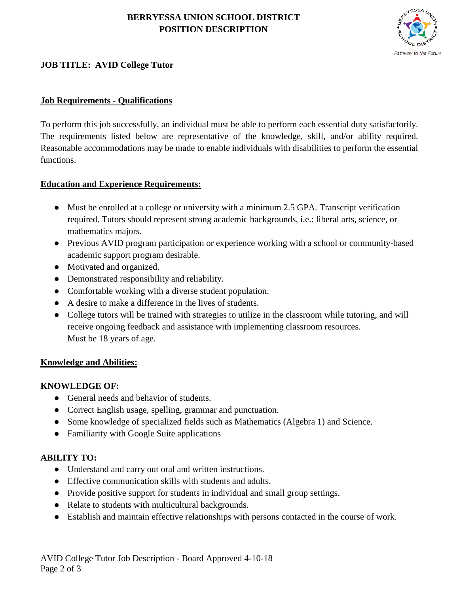# **BERRYESSA UNION SCHOOL DISTRICT POSITION DESCRIPTION**



## **JOB TITLE: AVID College Tutor**

### **Job Requirements - Qualifications**

To perform this job successfully, an individual must be able to perform each essential duty satisfactorily. The requirements listed below are representative of the knowledge, skill, and/or ability required. Reasonable accommodations may be made to enable individuals with disabilities to perform the essential functions.

### **Education and Experience Requirements:**

- Must be enrolled at a college or university with a minimum 2.5 GPA. Transcript verification required. Tutors should represent strong academic backgrounds, i.e.: liberal arts, science, or mathematics majors.
- Previous AVID program participation or experience working with a school or community-based academic support program desirable.
- Motivated and organized.
- Demonstrated responsibility and reliability.
- Comfortable working with a diverse student population.
- A desire to make a difference in the lives of students.
- College tutors will be trained with strategies to utilize in the classroom while tutoring, and will receive ongoing feedback and assistance with implementing classroom resources. Must be 18 years of age.

### **Knowledge and Abilities:**

### **KNOWLEDGE OF:**

- General needs and behavior of students.
- Correct English usage, spelling, grammar and punctuation.
- Some knowledge of specialized fields such as Mathematics (Algebra 1) and Science.
- Familiarity with Google Suite applications

### **ABILITY TO:**

- Understand and carry out oral and written instructions.
- Effective communication skills with students and adults.
- Provide positive support for students in individual and small group settings.
- Relate to students with multicultural backgrounds.
- Establish and maintain effective relationships with persons contacted in the course of work.